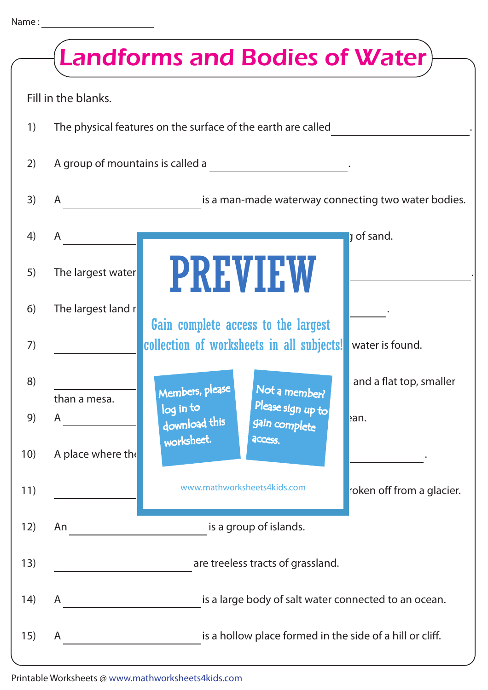|      | <b>Landforms and Bodies of Water</b> )                        |                                                                          |  |  |  |  |
|------|---------------------------------------------------------------|--------------------------------------------------------------------------|--|--|--|--|
|      | Fill in the blanks.                                           |                                                                          |  |  |  |  |
| 1)   | The physical features on the surface of the earth are called  |                                                                          |  |  |  |  |
| 2)   | A group of mountains is called a                              |                                                                          |  |  |  |  |
| 3)   | A                                                             | is a man-made waterway connecting two water bodies.                      |  |  |  |  |
| 4)   | A                                                             | <b>J</b> of sand.                                                        |  |  |  |  |
| 5)   | The largest water                                             | PREVIEW                                                                  |  |  |  |  |
| 6)   | The largest land r                                            | Gain complete access to the largest                                      |  |  |  |  |
| 7)   |                                                               | collection of worksheets in all subjects!<br>water is found.             |  |  |  |  |
| 8)   | than a mesa.                                                  | and a flat top, smaller<br>Not a member?<br>Members, please              |  |  |  |  |
| 9)   | A                                                             | Please sign up to<br>log in to<br>ean.<br>download this<br>gain complete |  |  |  |  |
| 10)  | A place where the                                             | worksheet.<br>access.                                                    |  |  |  |  |
| 11)  |                                                               | www.mathworksheets4kids.com<br>roken off from a glacier.                 |  |  |  |  |
| 12)  | An                                                            | is a group of islands.                                                   |  |  |  |  |
| 13)  | are treeless tracts of grassland.                             |                                                                          |  |  |  |  |
| (14) | is a large body of salt water connected to an ocean.<br>A     |                                                                          |  |  |  |  |
| 15)  | is a hollow place formed in the side of a hill or cliff.<br>A |                                                                          |  |  |  |  |